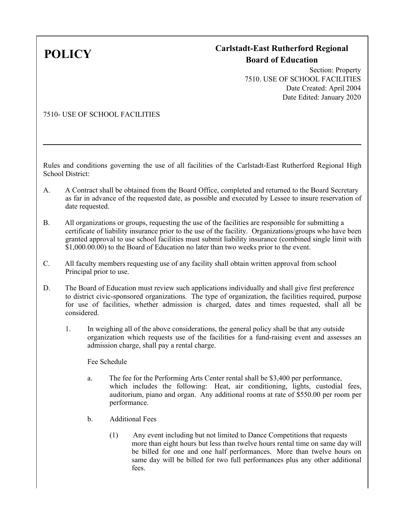## **POLICY Carlstadt-East Rutherford Regional Board of Education**

Section: Property 7510. USE OF SCHOOL FACILITIES Date Created: April 2004 Date Edited: January 2020

## 7510- USE OF SCHOOL FACILITIES

Rules and conditions governing the use of all facilities of the Carlstadt-East Rutherford Regional High School District:

- A. A Contract shall be obtained from the Board Office, completed and returned to the Board Secretary as far in advance of the requested date, as possible and executed by Lessee to insure reservation of date requested.
- B. All organizations or groups, requesting the use of the facilities are responsible for submitting a certificate of liability insurance prior to the use of the facility. Organizations/groups who have been granted approval to use school facilities must submit liability insurance (combined single limit with  $$1,000.00.00$ ) to the Board of Education no later than two weeks prior to the event.
- C. All faculty members requesting use of any facility shall obtain written approval from school Principal prior to use.
- D. The Board of Education must review such applications individually and shall give first preference to district civic-sponsored organizations. The type of organization, the facilities required, purpose for use of facilities, whether admission is charged, dates and times requested, shall all be considered.
	- 1. In weighing all of the above considerations, the general policy shall be that any outside organization which requests use of the facilities for a fund-raising event and assesses an admission charge, shall pay a rental charge.

Fee Schedule

- a. The fee for the Performing Arts Center rental shall be \$3,400 per performance, which includes the following: Heat, air conditioning, lights, custodial fees, auditorium, piano and organ. Any additional rooms at rate of \$550.00 per room per performance.
- b. Additional Fees
	- (1) Any event including but not limited to Dance Competitions that requests more than eight hours but less than twelve hours rental time on same day will be billed for one and one half performances. More than twelve hours on same day will be billed for two full performances plus any other additional fees.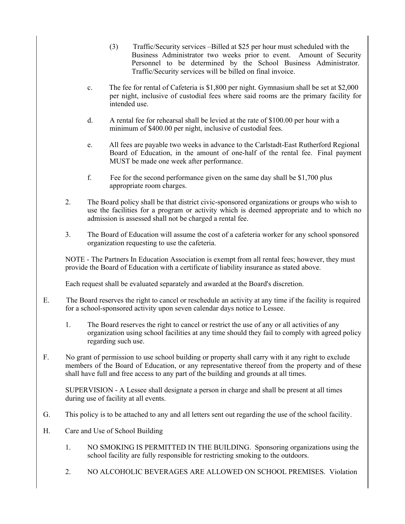- (3) Traffic/Security services –Billed at \$25 per hour must scheduled with the Business Administrator two weeks prior to event. Amount of Security Personnel to be determined by the School Business Administrator. Traffic/Security services will be billed on final invoice.
- c. The fee for rental of Cafeteria is \$1,800 per night. Gymnasium shall be set at \$2,000 per night, inclusive of custodial fees where said rooms are the primary facility for intended use.
- d. A rental fee for rehearsal shall be levied at the rate of \$100.00 per hour with a minimum of \$400.00 per night, inclusive of custodial fees.
- e. All fees are payable two weeks in advance to the Carlstadt-East Rutherford Regional Board of Education, in the amount of one-half of the rental fee. Final payment MUST be made one week after performance.
- f. Fee for the second performance given on the same day shall be \$1,700 plus appropriate room charges.
- 2. The Board policy shall be that district civic-sponsored organizations or groups who wish to use the facilities for a program or activity which is deemed appropriate and to which no admission is assessed shall not be charged a rental fee.
- 3. The Board of Education will assume the cost of a cafeteria worker for any school sponsored organization requesting to use the cafeteria.

NOTE - The Partners In Education Association is exempt from all rental fees; however, they must provide the Board of Education with a certificate of liability insurance as stated above.

Each request shall be evaluated separately and awarded at the Board's discretion.

- E. The Board reserves the right to cancel or reschedule an activity at any time if the facility is required for a school-sponsored activity upon seven calendar days notice to Lessee.
	- 1. The Board reserves the right to cancel or restrict the use of any or all activities of any organization using school facilities at any time should they fail to comply with agreed policy regarding such use.
- F. No grant of permission to use school building or property shall carry with it any right to exclude members of the Board of Education, or any representative thereof from the property and of these shall have full and free access to any part of the building and grounds at all times.

SUPERVISION - A Lessee shall designate a person in charge and shall be present at all times during use of facility at all events.

- G. This policy is to be attached to any and all letters sent out regarding the use of the school facility.
- H. Care and Use of School Building
	- 1. NO SMOKING IS PERMITTED IN THE BUILDING. Sponsoring organizations using the school facility are fully responsible for restricting smoking to the outdoors.
	- 2. NO ALCOHOLIC BEVERAGES ARE ALLOWED ON SCHOOL PREMISES. Violation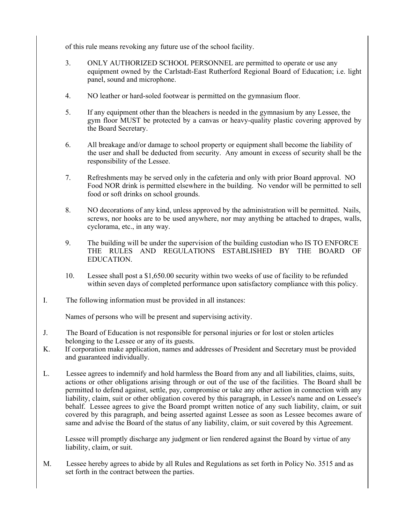of this rule means revoking any future use of the school facility.

- 3. ONLY AUTHORIZED SCHOOL PERSONNEL are permitted to operate or use any equipment owned by the Carlstadt-East Rutherford Regional Board of Education; i.e. light panel, sound and microphone.
- 4. NO leather or hard-soled footwear is permitted on the gymnasium floor.
- 5. If any equipment other than the bleachers is needed in the gymnasium by any Lessee, the gym floor MUST be protected by a canvas or heavy-quality plastic covering approved by the Board Secretary.
- 6. All breakage and/or damage to school property or equipment shall become the liability of the user and shall be deducted from security. Any amount in excess of security shall be the responsibility of the Lessee.
- 7. Refreshments may be served only in the cafeteria and only with prior Board approval. NO Food NOR drink is permitted elsewhere in the building. No vendor will be permitted to sell food or soft drinks on school grounds.
- 8. NO decorations of any kind, unless approved by the administration will be permitted. Nails, screws, nor hooks are to be used anywhere, nor may anything be attached to drapes, walls, cyclorama, etc., in any way.
- 9. The building will be under the supervision of the building custodian who IS TO ENFORCE THE RULES AND REGULATIONS ESTABLISHED BY THE BOARD OF EDUCATION.
- 10. Lessee shall post a \$1,650.00 security within two weeks of use of facility to be refunded within seven days of completed performance upon satisfactory compliance with this policy.
- I. The following information must be provided in all instances:

Names of persons who will be present and supervising activity.

- J. The Board of Education is not responsible for personal injuries or for lost or stolen articles belonging to the Lessee or any of its guests.
- K. If corporation make application, names and addresses of President and Secretary must be provided and guaranteed individually.
- L. Lessee agrees to indemnify and hold harmless the Board from any and all liabilities, claims, suits, actions or other obligations arising through or out of the use of the facilities. The Board shall be permitted to defend against, settle, pay, compromise or take any other action in connection with any liability, claim, suit or other obligation covered by this paragraph, in Lessee's name and on Lessee's behalf. Lessee agrees to give the Board prompt written notice of any such liability, claim, or suit covered by this paragraph, and being asserted against Lessee as soon as Lessee becomes aware of same and advise the Board of the status of any liability, claim, or suit covered by this Agreement.

Lessee will promptly discharge any judgment or lien rendered against the Board by virtue of any liability, claim, or suit.

M. Lessee hereby agrees to abide by all Rules and Regulations as set forth in Policy No. 3515 and as set forth in the contract between the parties.